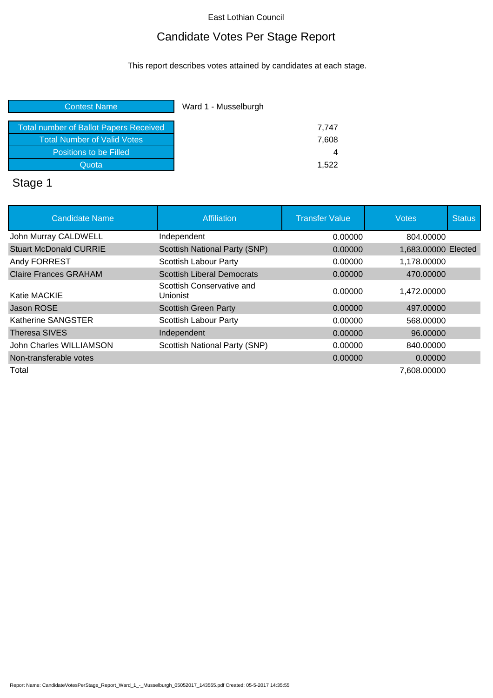## Candidate Votes Per Stage Report

This report describes votes attained by candidates at each stage.

| <b>Contest Name</b>                           | Ward 1 - Musselburgh |  |
|-----------------------------------------------|----------------------|--|
| <b>Total number of Ballot Papers Received</b> | 7,747                |  |
| Total Number of Valid Votes                   | 7,608                |  |
| Positions to be Filled                        | 4                    |  |
| Quota                                         | 1.522                |  |
|                                               |                      |  |

# Stage 1

| <b>Candidate Name</b>         | Affiliation                           | <b>Transfer Value</b> | <b>Votes</b>        | <b>Status</b> |
|-------------------------------|---------------------------------------|-----------------------|---------------------|---------------|
| John Murray CALDWELL          | Independent                           | 0.00000               | 804.00000           |               |
| <b>Stuart McDonald CURRIE</b> | <b>Scottish National Party (SNP)</b>  | 0.00000               | 1,683.00000 Elected |               |
| Andy FORREST                  | Scottish Labour Party                 | 0.00000               | 1,178.00000         |               |
| <b>Claire Frances GRAHAM</b>  | <b>Scottish Liberal Democrats</b>     | 0.00000               | 470.00000           |               |
| Katie MACKIE                  | Scottish Conservative and<br>Unionist | 0.00000               | 1,472.00000         |               |
| Jason ROSE                    | <b>Scottish Green Party</b>           | 0.00000               | 497,00000           |               |
| Katherine SANGSTER            | <b>Scottish Labour Party</b>          | 0.00000               | 568,00000           |               |
| Theresa SIVES                 | Independent                           | 0.00000               | 96,00000            |               |
| John Charles WILLIAMSON       | Scottish National Party (SNP)         | 0.00000               | 840.00000           |               |
| Non-transferable votes        |                                       | 0.00000               | 0.00000             |               |
| Total                         |                                       |                       | 7.608.00000         |               |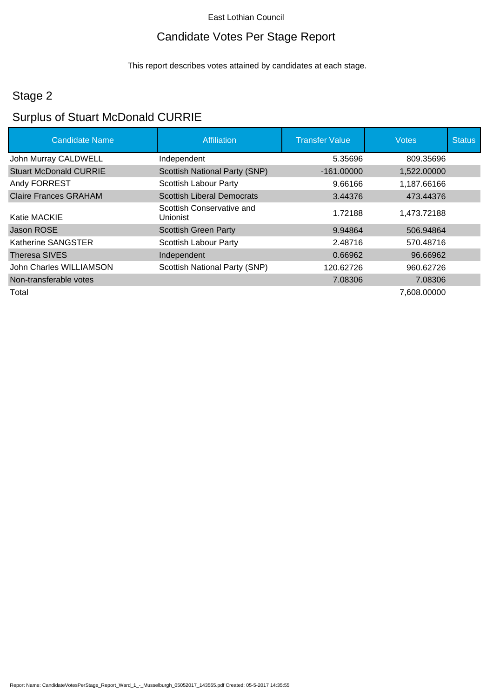## Candidate Votes Per Stage Report

This report describes votes attained by candidates at each stage.

## Stage 2

## Surplus of Stuart McDonald CURRIE

| <b>Candidate Name</b>         | Affiliation                           | <b>Transfer Value</b> | <b>Votes</b> | <b>Status</b> |
|-------------------------------|---------------------------------------|-----------------------|--------------|---------------|
| John Murray CALDWELL          | Independent                           | 5.35696               | 809.35696    |               |
| <b>Stuart McDonald CURRIE</b> | Scottish National Party (SNP)         | $-161.00000$          | 1,522.00000  |               |
| Andy FORREST                  | Scottish Labour Party                 | 9.66166               | 1,187.66166  |               |
| <b>Claire Frances GRAHAM</b>  | <b>Scottish Liberal Democrats</b>     | 3.44376               | 473.44376    |               |
| Katie MACKIE                  | Scottish Conservative and<br>Unionist | 1.72188               | 1,473.72188  |               |
| Jason ROSE                    | <b>Scottish Green Party</b>           | 9.94864               | 506.94864    |               |
| Katherine SANGSTER            | <b>Scottish Labour Party</b>          | 2.48716               | 570.48716    |               |
| Theresa SIVES                 | Independent                           | 0.66962               | 96.66962     |               |
| John Charles WILLIAMSON       | Scottish National Party (SNP)         | 120.62726             | 960.62726    |               |
| Non-transferable votes        |                                       | 7.08306               | 7.08306      |               |
| Total                         |                                       |                       | 7,608.00000  |               |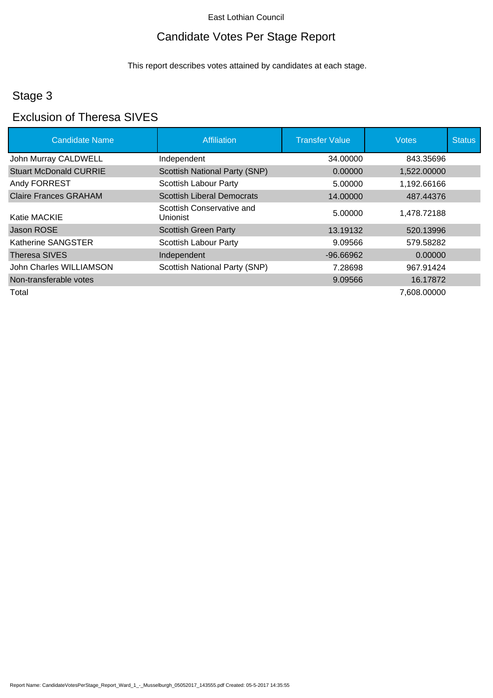## Candidate Votes Per Stage Report

This report describes votes attained by candidates at each stage.

## Stage 3

### Exclusion of Theresa SIVES

| <b>Candidate Name</b>         | <b>Affiliation</b>                    | <b>Transfer Value</b> | <b>Votes</b> | <b>Status</b> |
|-------------------------------|---------------------------------------|-----------------------|--------------|---------------|
| John Murray CALDWELL          | Independent                           | 34.00000              | 843.35696    |               |
| <b>Stuart McDonald CURRIE</b> | <b>Scottish National Party (SNP)</b>  | 0.00000               | 1,522.00000  |               |
| Andy FORREST                  | Scottish Labour Party                 | 5.00000               | 1,192.66166  |               |
| <b>Claire Frances GRAHAM</b>  | <b>Scottish Liberal Democrats</b>     | 14.00000              | 487.44376    |               |
| Katie MACKIE                  | Scottish Conservative and<br>Unionist | 5.00000               | 1.478.72188  |               |
| Jason ROSE                    | <b>Scottish Green Party</b>           | 13.19132              | 520.13996    |               |
| Katherine SANGSTER            | <b>Scottish Labour Party</b>          | 9.09566               | 579.58282    |               |
| Theresa SIVES                 | Independent                           | $-96.66962$           | 0.00000      |               |
| John Charles WILLIAMSON       | Scottish National Party (SNP)         | 7.28698               | 967.91424    |               |
| Non-transferable votes        |                                       | 9.09566               | 16.17872     |               |
| Total                         |                                       |                       | 7,608.00000  |               |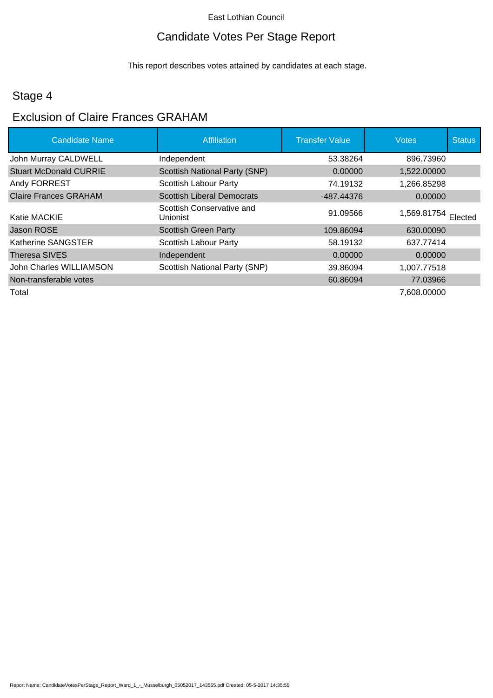## Candidate Votes Per Stage Report

This report describes votes attained by candidates at each stage.

## Stage 4

## Exclusion of Claire Frances GRAHAM

| <b>Candidate Name</b>         | Affiliation                           | <b>Transfer Value</b> | <b>Votes</b>        | <b>Status</b> |
|-------------------------------|---------------------------------------|-----------------------|---------------------|---------------|
| John Murray CALDWELL          | Independent                           | 53.38264              | 896.73960           |               |
| <b>Stuart McDonald CURRIE</b> | <b>Scottish National Party (SNP)</b>  | 0.00000               | 1,522.00000         |               |
| Andy FORREST                  | <b>Scottish Labour Party</b>          | 74.19132              | 1,266.85298         |               |
| <b>Claire Frances GRAHAM</b>  | <b>Scottish Liberal Democrats</b>     | -487.44376            | 0.00000             |               |
| Katie MACKIE                  | Scottish Conservative and<br>Unionist | 91.09566              | 1,569.81754 Elected |               |
| Jason ROSE                    | <b>Scottish Green Party</b>           | 109.86094             | 630,00090           |               |
| Katherine SANGSTER            | <b>Scottish Labour Party</b>          | 58.19132              | 637.77414           |               |
| Theresa SIVES                 | Independent                           | 0.00000               | 0.00000             |               |
| John Charles WILLIAMSON       | <b>Scottish National Party (SNP)</b>  | 39.86094              | 1,007.77518         |               |
| Non-transferable votes        |                                       | 60.86094              | 77.03966            |               |
| Total                         |                                       |                       | 7,608.00000         |               |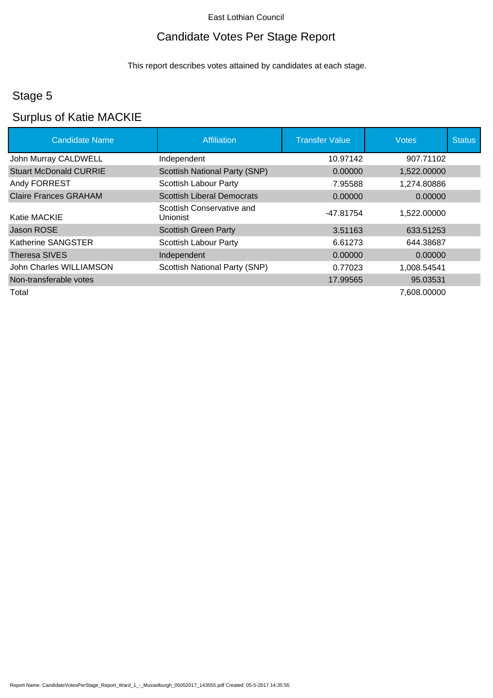## Candidate Votes Per Stage Report

This report describes votes attained by candidates at each stage.

## Stage 5

### Surplus of Katie MACKIE

| <b>Candidate Name</b>         | <b>Affiliation</b>                    | <b>Transfer Value</b> | <b>Votes</b> | <b>Status</b> |
|-------------------------------|---------------------------------------|-----------------------|--------------|---------------|
| John Murray CALDWELL          | Independent                           | 10.97142              | 907.71102    |               |
| <b>Stuart McDonald CURRIE</b> | <b>Scottish National Party (SNP)</b>  | 0.00000               | 1,522.00000  |               |
| Andy FORREST                  | Scottish Labour Party                 | 7.95588               | 1,274.80886  |               |
| <b>Claire Frances GRAHAM</b>  | <b>Scottish Liberal Democrats</b>     | 0.00000               | 0.00000      |               |
| Katie MACKIE                  | Scottish Conservative and<br>Unionist | -47.81754             | 1,522.00000  |               |
| Jason ROSE                    | <b>Scottish Green Party</b>           | 3.51163               | 633.51253    |               |
| Katherine SANGSTER            | <b>Scottish Labour Party</b>          | 6.61273               | 644.38687    |               |
| Theresa SIVES                 | Independent                           | 0.00000               | 0.00000      |               |
| John Charles WILLIAMSON       | Scottish National Party (SNP)         | 0.77023               | 1,008.54541  |               |
| Non-transferable votes        |                                       | 17.99565              | 95.03531     |               |
| Total                         |                                       |                       | 7,608.00000  |               |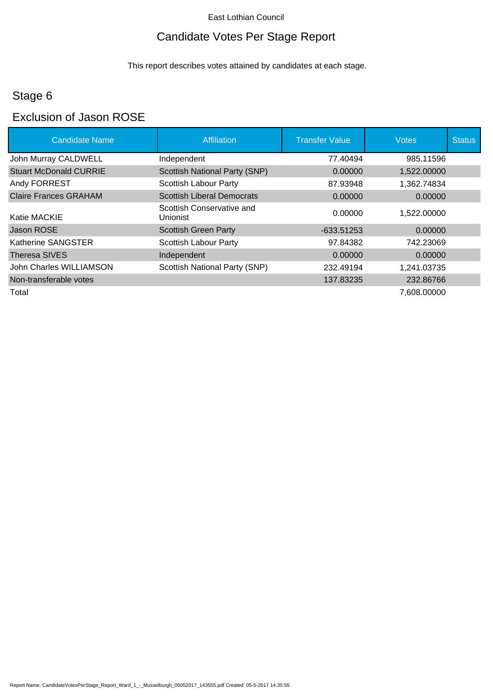## Candidate Votes Per Stage Report

This report describes votes attained by candidates at each stage.

## Stage 6

### Exclusion of Jason ROSE

| <b>Candidate Name</b>         | <b>Affiliation</b>                    | <b>Transfer Value</b> | <b>Votes</b> | <b>Status</b> |
|-------------------------------|---------------------------------------|-----------------------|--------------|---------------|
| John Murray CALDWELL          | Independent                           | 77.40494              | 985.11596    |               |
| <b>Stuart McDonald CURRIE</b> | <b>Scottish National Party (SNP)</b>  | 0.00000               | 1,522.00000  |               |
| Andy FORREST                  | <b>Scottish Labour Party</b>          | 87.93948              | 1,362.74834  |               |
| <b>Claire Frances GRAHAM</b>  | <b>Scottish Liberal Democrats</b>     | 0.00000               | 0.00000      |               |
| Katie MACKIE                  | Scottish Conservative and<br>Unionist | 0.00000               | 1,522.00000  |               |
| Jason ROSE                    | <b>Scottish Green Party</b>           | -633.51253            | 0.00000      |               |
| Katherine SANGSTER            | Scottish Labour Party                 | 97.84382              | 742.23069    |               |
| Theresa SIVES                 | Independent                           | 0.00000               | 0.00000      |               |
| John Charles WILLIAMSON       | Scottish National Party (SNP)         | 232.49194             | 1,241.03735  |               |
| Non-transferable votes        |                                       | 137.83235             | 232.86766    |               |
| Total                         |                                       |                       | 7,608.00000  |               |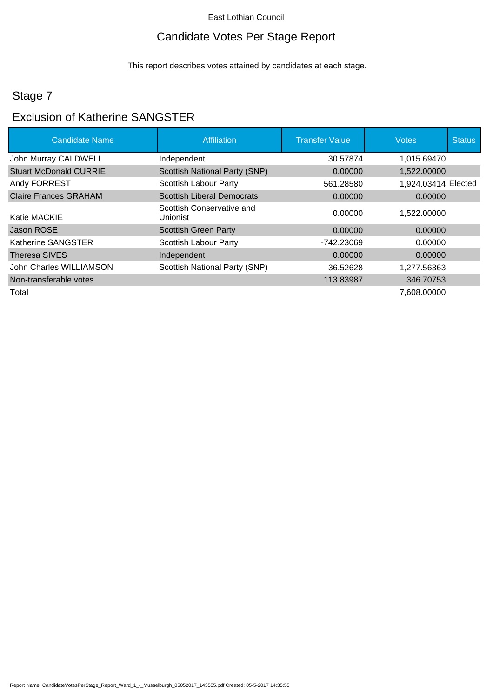## Candidate Votes Per Stage Report

This report describes votes attained by candidates at each stage.

## Stage 7

## Exclusion of Katherine SANGSTER

| <b>Candidate Name</b>         | Affiliation                           | <b>Transfer Value</b> | <b>Votes</b>        | <b>Status</b> |
|-------------------------------|---------------------------------------|-----------------------|---------------------|---------------|
| John Murray CALDWELL          | Independent                           | 30.57874              | 1,015.69470         |               |
| <b>Stuart McDonald CURRIE</b> | <b>Scottish National Party (SNP)</b>  | 0.00000               | 1,522.00000         |               |
| Andy FORREST                  | <b>Scottish Labour Party</b>          | 561.28580             | 1,924.03414 Elected |               |
| <b>Claire Frances GRAHAM</b>  | <b>Scottish Liberal Democrats</b>     | 0.00000               | 0.00000             |               |
| Katie MACKIE                  | Scottish Conservative and<br>Unionist | 0.00000               | 1,522.00000         |               |
| Jason ROSE                    | <b>Scottish Green Party</b>           | 0.00000               | 0.00000             |               |
| Katherine SANGSTER            | <b>Scottish Labour Party</b>          | -742.23069            | 0.00000             |               |
| Theresa SIVES                 | Independent                           | 0.00000               | 0.00000             |               |
| John Charles WILLIAMSON       | Scottish National Party (SNP)         | 36.52628              | 1,277.56363         |               |
| Non-transferable votes        |                                       | 113.83987             | 346.70753           |               |
| Total                         |                                       |                       | 7,608.00000         |               |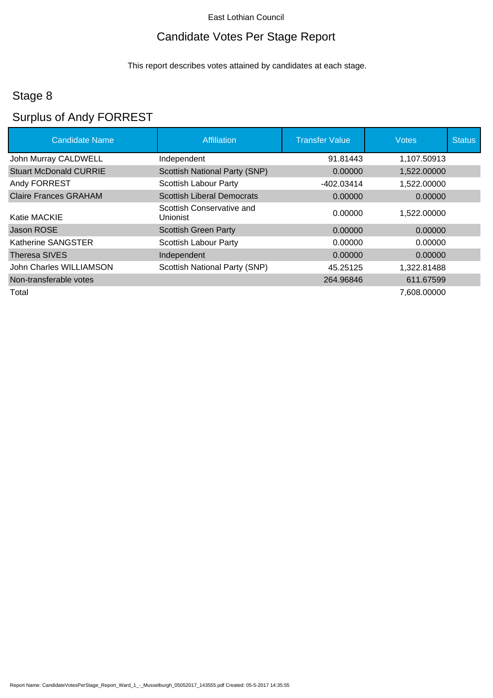## Candidate Votes Per Stage Report

This report describes votes attained by candidates at each stage.

## Stage 8

# Surplus of Andy FORREST

| <b>Candidate Name</b>         | Affiliation                           | <b>Transfer Value</b> | <b>Votes</b> | <b>Status</b> |
|-------------------------------|---------------------------------------|-----------------------|--------------|---------------|
| John Murray CALDWELL          | Independent                           | 91.81443              | 1,107.50913  |               |
| <b>Stuart McDonald CURRIE</b> | <b>Scottish National Party (SNP)</b>  | 0.00000               | 1,522.00000  |               |
| Andy FORREST                  | Scottish Labour Party                 | $-402.03414$          | 1,522.00000  |               |
| <b>Claire Frances GRAHAM</b>  | <b>Scottish Liberal Democrats</b>     | 0.00000               | 0.00000      |               |
| Katie MACKIE                  | Scottish Conservative and<br>Unionist | 0.00000               | 1,522.00000  |               |
| Jason ROSE                    | <b>Scottish Green Party</b>           | 0.00000               | 0.00000      |               |
| Katherine SANGSTER            | <b>Scottish Labour Party</b>          | 0.00000               | 0.00000      |               |
| Theresa SIVES                 | Independent                           | 0.00000               | 0.00000      |               |
| John Charles WILLIAMSON       | Scottish National Party (SNP)         | 45.25125              | 1,322.81488  |               |
| Non-transferable votes        |                                       | 264.96846             | 611.67599    |               |
| Total                         |                                       |                       | 7,608.00000  |               |